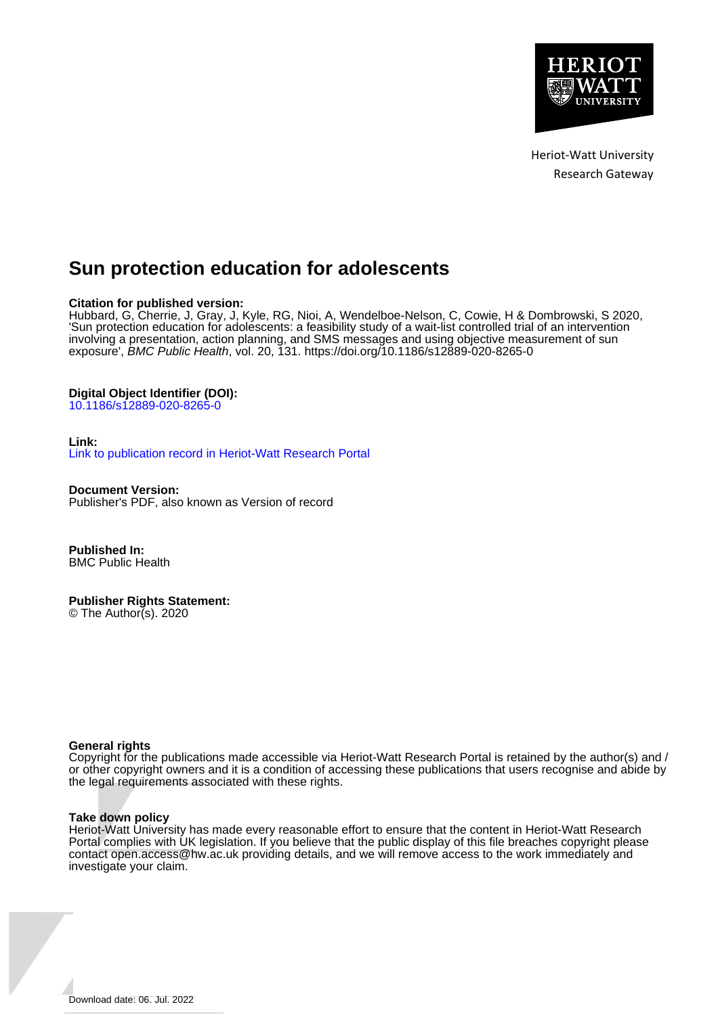

Heriot-Watt University Research Gateway

# **Sun protection education for adolescents**

## **Citation for published version:**

Hubbard, G, Cherrie, J, Gray, J, Kyle, RG, Nioi, A, Wendelboe-Nelson, C, Cowie, H & Dombrowski, S 2020, 'Sun protection education for adolescents: a feasibility study of a wait-list controlled trial of an intervention involving a presentation, action planning, and SMS messages and using objective measurement of sun exposure', BMC Public Health, vol. 20, 131.<https://doi.org/10.1186/s12889-020-8265-0>

## **Digital Object Identifier (DOI):**

[10.1186/s12889-020-8265-0](https://doi.org/10.1186/s12889-020-8265-0)

## **Link:**

[Link to publication record in Heriot-Watt Research Portal](https://researchportal.hw.ac.uk/en/publications/7d77179f-6b20-45bd-96b5-eeac7ab5b45f)

**Document Version:** Publisher's PDF, also known as Version of record

**Published In:** BMC Public Health

## **Publisher Rights Statement:**

© The Author(s). 2020

## **General rights**

Copyright for the publications made accessible via Heriot-Watt Research Portal is retained by the author(s) and / or other copyright owners and it is a condition of accessing these publications that users recognise and abide by the legal requirements associated with these rights.

## **Take down policy**

Heriot-Watt University has made every reasonable effort to ensure that the content in Heriot-Watt Research Portal complies with UK legislation. If you believe that the public display of this file breaches copyright please contact open.access@hw.ac.uk providing details, and we will remove access to the work immediately and investigate your claim.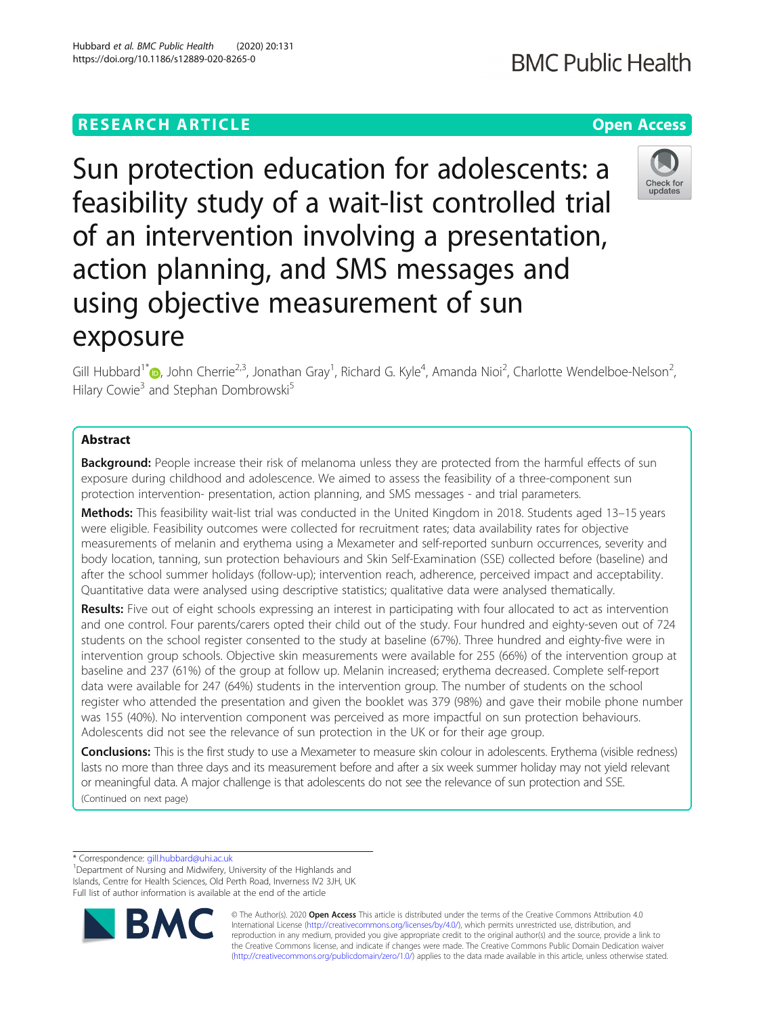# **RESEARCH ARTICLE Example 2014 12:30 The Contract of Contract ACCESS**

Sun protection education for adolescents: a feasibility study of a wait-list controlled trial of an intervention involving a presentation, action planning, and SMS messages and using objective measurement of sun exposure

Gill Hubbard<sup>1[\\*](http://orcid.org/0000-0003-2165-5770)</sup> D, John Cherrie<sup>2,3</sup>, Jonathan Gray<sup>1</sup>, Richard G. Kyle<sup>4</sup>, Amanda Nioi<sup>2</sup>, Charlotte Wendelboe-Nelson<sup>2</sup> , Hilary Cowie<sup>3</sup> and Stephan Dombrowski<sup>5</sup>

## Abstract

**Background:** People increase their risk of melanoma unless they are protected from the harmful effects of sun exposure during childhood and adolescence. We aimed to assess the feasibility of a three-component sun protection intervention- presentation, action planning, and SMS messages - and trial parameters.

Methods: This feasibility wait-list trial was conducted in the United Kingdom in 2018. Students aged 13-15 years were eligible. Feasibility outcomes were collected for recruitment rates; data availability rates for objective measurements of melanin and erythema using a Mexameter and self-reported sunburn occurrences, severity and body location, tanning, sun protection behaviours and Skin Self-Examination (SSE) collected before (baseline) and after the school summer holidays (follow-up); intervention reach, adherence, perceived impact and acceptability. Quantitative data were analysed using descriptive statistics; qualitative data were analysed thematically.

Results: Five out of eight schools expressing an interest in participating with four allocated to act as intervention and one control. Four parents/carers opted their child out of the study. Four hundred and eighty-seven out of 724 students on the school register consented to the study at baseline (67%). Three hundred and eighty-five were in intervention group schools. Objective skin measurements were available for 255 (66%) of the intervention group at baseline and 237 (61%) of the group at follow up. Melanin increased; erythema decreased. Complete self-report data were available for 247 (64%) students in the intervention group. The number of students on the school register who attended the presentation and given the booklet was 379 (98%) and gave their mobile phone number was 155 (40%). No intervention component was perceived as more impactful on sun protection behaviours. Adolescents did not see the relevance of sun protection in the UK or for their age group.

**Conclusions:** This is the first study to use a Mexameter to measure skin colour in adolescents. Erythema (visible redness) lasts no more than three days and its measurement before and after a six week summer holiday may not yield relevant or meaningful data. A major challenge is that adolescents do not see the relevance of sun protection and SSE. (Continued on next page)

\* Correspondence: [gill.hubbard@uhi.ac.uk](mailto:gill.hubbard@uhi.ac.uk) <sup>1</sup>

<sup>&</sup>lt;sup>1</sup>Department of Nursing and Midwifery, University of the Highlands and Islands, Centre for Health Sciences, Old Perth Road, Inverness IV2 3JH, UK Full list of author information is available at the end of the article







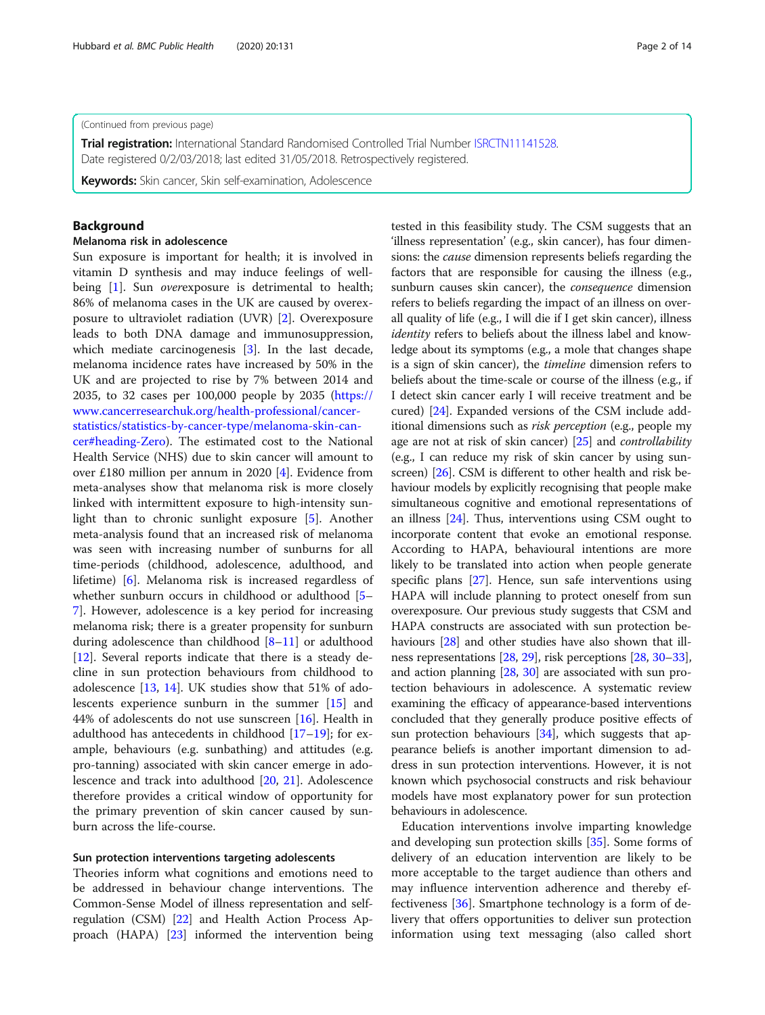#### (Continued from previous page)

**Trial registration:** International Standard Randomised Controlled Trial Number [ISRCTN11141528](http://www.isrctn.com/ISRCTN11141528). Date registered 0/2/03/2018; last edited 31/05/2018. Retrospectively registered.

Keywords: Skin cancer, Skin self-examination, Adolescence

## Background

#### Melanoma risk in adolescence

Sun exposure is important for health; it is involved in vitamin D synthesis and may induce feelings of well-being [[1\]](#page-12-0). Sun *overexposure* is detrimental to health; 86% of melanoma cases in the UK are caused by overexposure to ultraviolet radiation (UVR) [\[2](#page-12-0)]. Overexposure leads to both DNA damage and immunosuppression, which mediate carcinogenesis [\[3](#page-13-0)]. In the last decade, melanoma incidence rates have increased by 50% in the UK and are projected to rise by 7% between 2014 and 2035, to 32 cases per 100,000 people by 2035 ([https://](https://www.cancerresearchuk.org/health-professional/cancer-statistics/statistics-by-cancer-type/melanoma-skin-cancer#heading-Zero) [www.cancerresearchuk.org/health-professional/cancer](https://www.cancerresearchuk.org/health-professional/cancer-statistics/statistics-by-cancer-type/melanoma-skin-cancer#heading-Zero)[statistics/statistics-by-cancer-type/melanoma-skin-can-](https://www.cancerresearchuk.org/health-professional/cancer-statistics/statistics-by-cancer-type/melanoma-skin-cancer#heading-Zero)

[cer#heading-Zero\)](https://www.cancerresearchuk.org/health-professional/cancer-statistics/statistics-by-cancer-type/melanoma-skin-cancer#heading-Zero). The estimated cost to the National Health Service (NHS) due to skin cancer will amount to over £180 million per annum in 2020 [[4\]](#page-13-0). Evidence from meta-analyses show that melanoma risk is more closely linked with intermittent exposure to high-intensity sunlight than to chronic sunlight exposure [\[5](#page-13-0)]. Another meta-analysis found that an increased risk of melanoma was seen with increasing number of sunburns for all time-periods (childhood, adolescence, adulthood, and lifetime) [[6\]](#page-13-0). Melanoma risk is increased regardless of whether sunburn occurs in childhood or adulthood [[5](#page-13-0)– [7\]](#page-13-0). However, adolescence is a key period for increasing melanoma risk; there is a greater propensity for sunburn during adolescence than childhood [\[8](#page-13-0)–[11\]](#page-13-0) or adulthood [[12\]](#page-13-0). Several reports indicate that there is a steady decline in sun protection behaviours from childhood to adolescence [\[13,](#page-13-0) [14](#page-13-0)]. UK studies show that 51% of adolescents experience sunburn in the summer [[15\]](#page-13-0) and 44% of adolescents do not use sunscreen  $[16]$ . Health in adulthood has antecedents in childhood  $[17–19]$  $[17–19]$  $[17–19]$  $[17–19]$  $[17–19]$ ; for example, behaviours (e.g. sunbathing) and attitudes (e.g. pro-tanning) associated with skin cancer emerge in adolescence and track into adulthood [\[20,](#page-13-0) [21\]](#page-13-0). Adolescence therefore provides a critical window of opportunity for the primary prevention of skin cancer caused by sunburn across the life-course.

## Sun protection interventions targeting adolescents

Theories inform what cognitions and emotions need to be addressed in behaviour change interventions. The Common-Sense Model of illness representation and selfregulation (CSM) [\[22\]](#page-13-0) and Health Action Process Approach (HAPA) [[23](#page-13-0)] informed the intervention being

tested in this feasibility study. The CSM suggests that an 'illness representation' (e.g., skin cancer), has four dimensions: the cause dimension represents beliefs regarding the factors that are responsible for causing the illness (e.g., sunburn causes skin cancer), the *consequence* dimension refers to beliefs regarding the impact of an illness on overall quality of life (e.g., I will die if I get skin cancer), illness identity refers to beliefs about the illness label and knowledge about its symptoms (e.g., a mole that changes shape is a sign of skin cancer), the timeline dimension refers to beliefs about the time-scale or course of the illness (e.g., if I detect skin cancer early I will receive treatment and be cured) [\[24\]](#page-13-0). Expanded versions of the CSM include additional dimensions such as risk perception (e.g., people my age are not at risk of skin cancer) [[25](#page-13-0)] and *controllability* (e.g., I can reduce my risk of skin cancer by using sunscreen) [\[26](#page-13-0)]. CSM is different to other health and risk behaviour models by explicitly recognising that people make simultaneous cognitive and emotional representations of an illness [\[24\]](#page-13-0). Thus, interventions using CSM ought to incorporate content that evoke an emotional response. According to HAPA, behavioural intentions are more likely to be translated into action when people generate specific plans [\[27\]](#page-13-0). Hence, sun safe interventions using HAPA will include planning to protect oneself from sun overexposure. Our previous study suggests that CSM and HAPA constructs are associated with sun protection be-haviours [[28](#page-13-0)] and other studies have also shown that illness representations [[28](#page-13-0), [29\]](#page-13-0), risk perceptions [[28](#page-13-0), [30](#page-13-0)–[33](#page-13-0)], and action planning [\[28,](#page-13-0) [30\]](#page-13-0) are associated with sun protection behaviours in adolescence. A systematic review examining the efficacy of appearance-based interventions concluded that they generally produce positive effects of sun protection behaviours  $[34]$ , which suggests that appearance beliefs is another important dimension to address in sun protection interventions. However, it is not known which psychosocial constructs and risk behaviour models have most explanatory power for sun protection behaviours in adolescence.

Education interventions involve imparting knowledge and developing sun protection skills [[35](#page-13-0)]. Some forms of delivery of an education intervention are likely to be more acceptable to the target audience than others and may influence intervention adherence and thereby effectiveness [[36\]](#page-13-0). Smartphone technology is a form of delivery that offers opportunities to deliver sun protection information using text messaging (also called short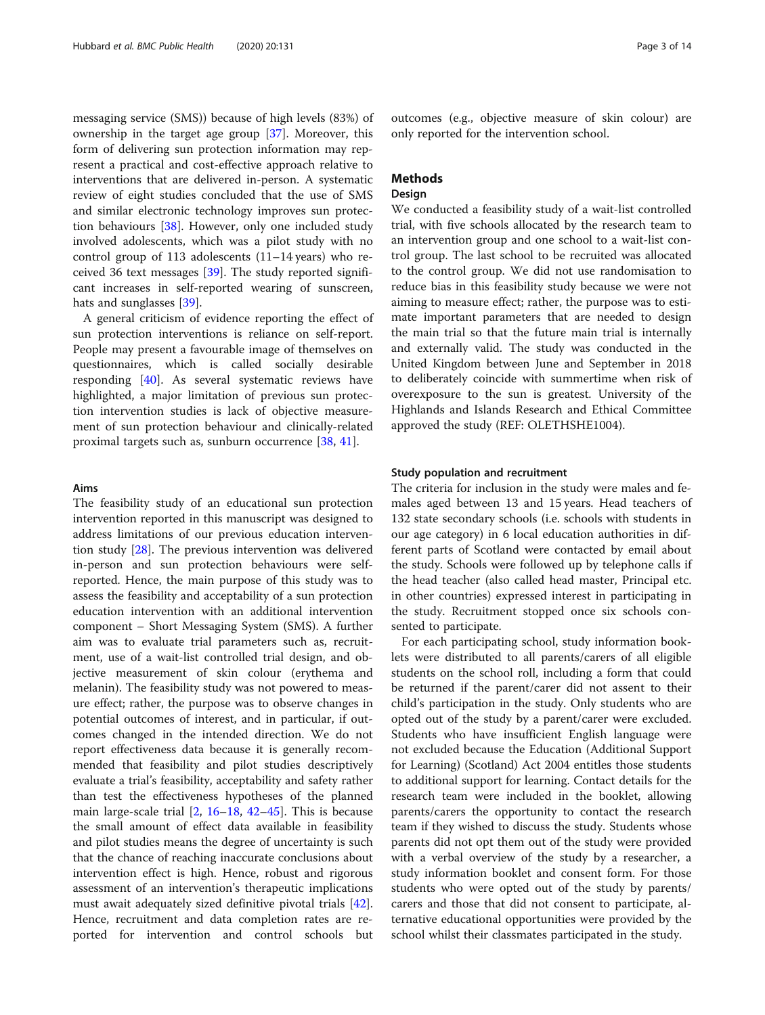messaging service (SMS)) because of high levels (83%) of ownership in the target age group [[37\]](#page-13-0). Moreover, this form of delivering sun protection information may represent a practical and cost-effective approach relative to interventions that are delivered in-person. A systematic review of eight studies concluded that the use of SMS and similar electronic technology improves sun protection behaviours [\[38\]](#page-13-0). However, only one included study involved adolescents, which was a pilot study with no control group of 113 adolescents (11–14 years) who received 36 text messages [\[39](#page-13-0)]. The study reported significant increases in self-reported wearing of sunscreen, hats and sunglasses [\[39](#page-13-0)].

A general criticism of evidence reporting the effect of sun protection interventions is reliance on self-report. People may present a favourable image of themselves on questionnaires, which is called socially desirable responding [\[40\]](#page-13-0). As several systematic reviews have highlighted, a major limitation of previous sun protection intervention studies is lack of objective measurement of sun protection behaviour and clinically-related proximal targets such as, sunburn occurrence [[38,](#page-13-0) [41](#page-13-0)].

## Aims

The feasibility study of an educational sun protection intervention reported in this manuscript was designed to address limitations of our previous education intervention study [\[28\]](#page-13-0). The previous intervention was delivered in-person and sun protection behaviours were selfreported. Hence, the main purpose of this study was to assess the feasibility and acceptability of a sun protection education intervention with an additional intervention component – Short Messaging System (SMS). A further aim was to evaluate trial parameters such as, recruitment, use of a wait-list controlled trial design, and objective measurement of skin colour (erythema and melanin). The feasibility study was not powered to measure effect; rather, the purpose was to observe changes in potential outcomes of interest, and in particular, if outcomes changed in the intended direction. We do not report effectiveness data because it is generally recommended that feasibility and pilot studies descriptively evaluate a trial's feasibility, acceptability and safety rather than test the effectiveness hypotheses of the planned main large-scale trial [\[2](#page-12-0), [16](#page-13-0)–[18,](#page-13-0) [42](#page-13-0)–[45](#page-13-0)]. This is because the small amount of effect data available in feasibility and pilot studies means the degree of uncertainty is such that the chance of reaching inaccurate conclusions about intervention effect is high. Hence, robust and rigorous assessment of an intervention's therapeutic implications must await adequately sized definitive pivotal trials [\[42](#page-13-0)]. Hence, recruitment and data completion rates are reported for intervention and control schools but

outcomes (e.g., objective measure of skin colour) are only reported for the intervention school.

## Methods

## Design

We conducted a feasibility study of a wait-list controlled trial, with five schools allocated by the research team to an intervention group and one school to a wait-list control group. The last school to be recruited was allocated to the control group. We did not use randomisation to reduce bias in this feasibility study because we were not aiming to measure effect; rather, the purpose was to estimate important parameters that are needed to design the main trial so that the future main trial is internally and externally valid. The study was conducted in the United Kingdom between June and September in 2018 to deliberately coincide with summertime when risk of overexposure to the sun is greatest. University of the Highlands and Islands Research and Ethical Committee approved the study (REF: OLETHSHE1004).

#### Study population and recruitment

The criteria for inclusion in the study were males and females aged between 13 and 15 years. Head teachers of 132 state secondary schools (i.e. schools with students in our age category) in 6 local education authorities in different parts of Scotland were contacted by email about the study. Schools were followed up by telephone calls if the head teacher (also called head master, Principal etc. in other countries) expressed interest in participating in the study. Recruitment stopped once six schools consented to participate.

For each participating school, study information booklets were distributed to all parents/carers of all eligible students on the school roll, including a form that could be returned if the parent/carer did not assent to their child's participation in the study. Only students who are opted out of the study by a parent/carer were excluded. Students who have insufficient English language were not excluded because the Education (Additional Support for Learning) (Scotland) Act 2004 entitles those students to additional support for learning. Contact details for the research team were included in the booklet, allowing parents/carers the opportunity to contact the research team if they wished to discuss the study. Students whose parents did not opt them out of the study were provided with a verbal overview of the study by a researcher, a study information booklet and consent form. For those students who were opted out of the study by parents/ carers and those that did not consent to participate, alternative educational opportunities were provided by the school whilst their classmates participated in the study.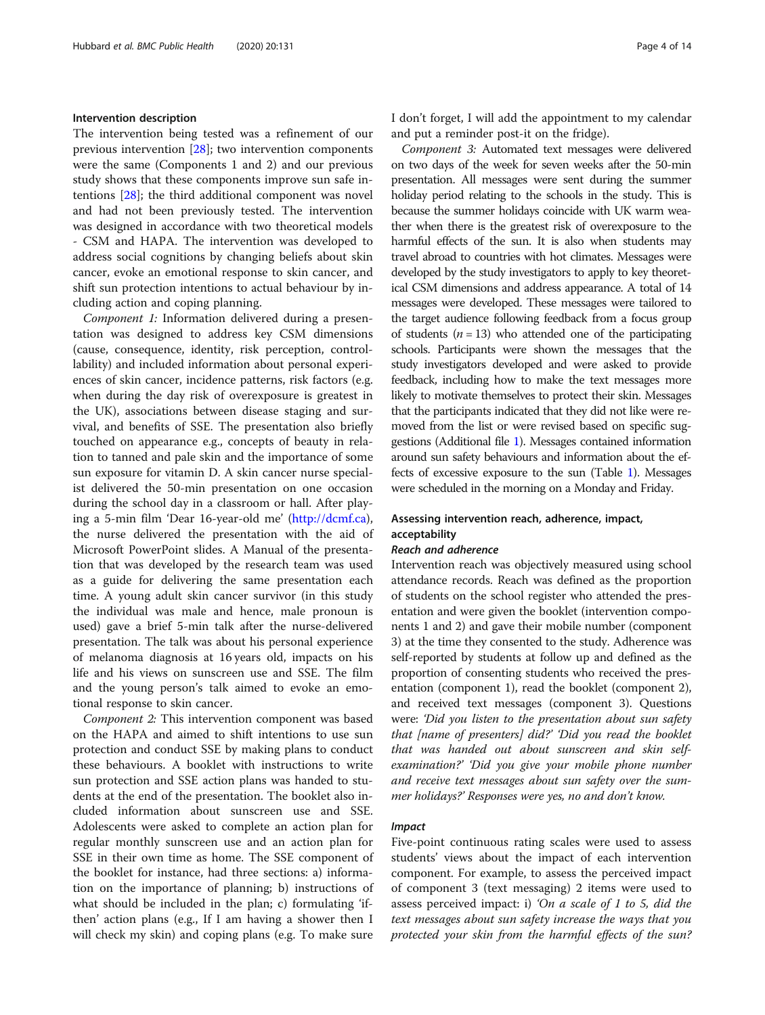#### Intervention description

The intervention being tested was a refinement of our previous intervention [[28](#page-13-0)]; two intervention components were the same (Components 1 and 2) and our previous study shows that these components improve sun safe intentions [[28](#page-13-0)]; the third additional component was novel and had not been previously tested. The intervention was designed in accordance with two theoretical models - CSM and HAPA. The intervention was developed to address social cognitions by changing beliefs about skin cancer, evoke an emotional response to skin cancer, and shift sun protection intentions to actual behaviour by including action and coping planning.

Component 1: Information delivered during a presentation was designed to address key CSM dimensions (cause, consequence, identity, risk perception, controllability) and included information about personal experiences of skin cancer, incidence patterns, risk factors (e.g. when during the day risk of overexposure is greatest in the UK), associations between disease staging and survival, and benefits of SSE. The presentation also briefly touched on appearance e.g., concepts of beauty in relation to tanned and pale skin and the importance of some sun exposure for vitamin D. A skin cancer nurse specialist delivered the 50-min presentation on one occasion during the school day in a classroom or hall. After playing a 5-min film 'Dear 16-year-old me' [\(http://dcmf.ca](http://dcmf.ca)), the nurse delivered the presentation with the aid of Microsoft PowerPoint slides. A Manual of the presentation that was developed by the research team was used as a guide for delivering the same presentation each time. A young adult skin cancer survivor (in this study the individual was male and hence, male pronoun is used) gave a brief 5-min talk after the nurse-delivered presentation. The talk was about his personal experience of melanoma diagnosis at 16 years old, impacts on his life and his views on sunscreen use and SSE. The film and the young person's talk aimed to evoke an emotional response to skin cancer.

Component 2: This intervention component was based on the HAPA and aimed to shift intentions to use sun protection and conduct SSE by making plans to conduct these behaviours. A booklet with instructions to write sun protection and SSE action plans was handed to students at the end of the presentation. The booklet also included information about sunscreen use and SSE. Adolescents were asked to complete an action plan for regular monthly sunscreen use and an action plan for SSE in their own time as home. The SSE component of the booklet for instance, had three sections: a) information on the importance of planning; b) instructions of what should be included in the plan; c) formulating 'ifthen' action plans (e.g., If I am having a shower then I will check my skin) and coping plans (e.g. To make sure I don't forget, I will add the appointment to my calendar and put a reminder post-it on the fridge).

Component 3: Automated text messages were delivered on two days of the week for seven weeks after the 50-min presentation. All messages were sent during the summer holiday period relating to the schools in the study. This is because the summer holidays coincide with UK warm weather when there is the greatest risk of overexposure to the harmful effects of the sun. It is also when students may travel abroad to countries with hot climates. Messages were developed by the study investigators to apply to key theoretical CSM dimensions and address appearance. A total of 14 messages were developed. These messages were tailored to the target audience following feedback from a focus group of students ( $n = 13$ ) who attended one of the participating schools. Participants were shown the messages that the study investigators developed and were asked to provide feedback, including how to make the text messages more likely to motivate themselves to protect their skin. Messages that the participants indicated that they did not like were removed from the list or were revised based on specific suggestions (Additional file [1](#page-12-0)). Messages contained information around sun safety behaviours and information about the effects of excessive exposure to the sun (Table [1](#page-5-0)). Messages were scheduled in the morning on a Monday and Friday.

## Assessing intervention reach, adherence, impact, acceptability

#### Reach and adherence

Intervention reach was objectively measured using school attendance records. Reach was defined as the proportion of students on the school register who attended the presentation and were given the booklet (intervention components 1 and 2) and gave their mobile number (component 3) at the time they consented to the study. Adherence was self-reported by students at follow up and defined as the proportion of consenting students who received the presentation (component 1), read the booklet (component 2), and received text messages (component 3). Questions were: 'Did you listen to the presentation about sun safety that [name of presenters] did?' 'Did you read the booklet that was handed out about sunscreen and skin selfexamination?' 'Did you give your mobile phone number and receive text messages about sun safety over the summer holidays?' Responses were yes, no and don't know.

#### Impact

Five-point continuous rating scales were used to assess students' views about the impact of each intervention component. For example, to assess the perceived impact of component 3 (text messaging) 2 items were used to assess perceived impact: i) 'On a scale of 1 to 5, did the text messages about sun safety increase the ways that you protected your skin from the harmful effects of the sun?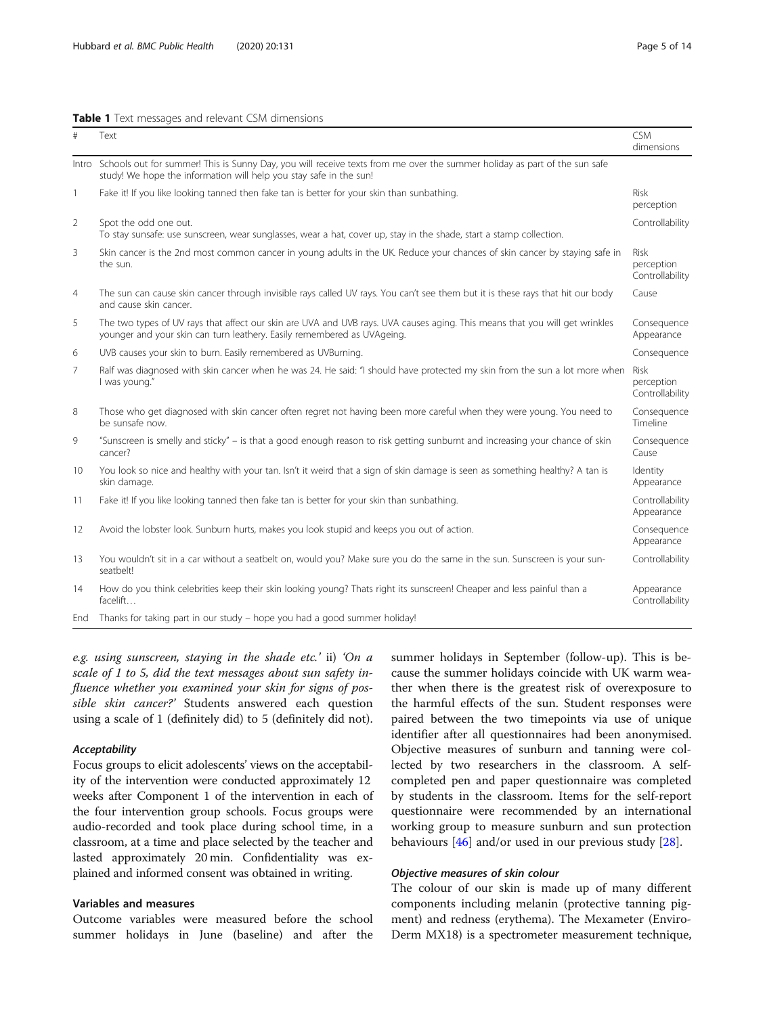<span id="page-5-0"></span>Table 1 Text messages and relevant CSM dimensions

| #              | Text                                                                                                                                                                                                   | <b>CSM</b><br>dimensions                     |
|----------------|--------------------------------------------------------------------------------------------------------------------------------------------------------------------------------------------------------|----------------------------------------------|
|                | Intro Schools out for summer! This is Sunny Day, you will receive texts from me over the summer holiday as part of the sun safe<br>study! We hope the information will help you stay safe in the sun!  |                                              |
| 1              | Fake it! If you like looking tanned then fake tan is better for your skin than sunbathing.                                                                                                             | <b>Risk</b><br>perception                    |
| $\overline{2}$ | Spot the odd one out.<br>To stay sunsafe: use sunscreen, wear sunglasses, wear a hat, cover up, stay in the shade, start a stamp collection.                                                           | Controllability                              |
| 3              | Skin cancer is the 2nd most common cancer in young adults in the UK. Reduce your chances of skin cancer by staying safe in<br>the sun.                                                                 | <b>Risk</b><br>perception<br>Controllability |
| $\overline{4}$ | The sun can cause skin cancer through invisible rays called UV rays. You can't see them but it is these rays that hit our body<br>and cause skin cancer.                                               | Cause                                        |
| 5              | The two types of UV rays that affect our skin are UVA and UVB rays. UVA causes aging. This means that you will get wrinkles<br>younger and your skin can turn leathery. Easily remembered as UVAgeing. | Consequence<br>Appearance                    |
| 6              | UVB causes your skin to burn. Easily remembered as UVBurning.                                                                                                                                          | Consequence                                  |
| 7              | Ralf was diagnosed with skin cancer when he was 24. He said: "I should have protected my skin from the sun a lot more when<br>I was young."                                                            | <b>Risk</b><br>perception<br>Controllability |
| 8              | Those who get diagnosed with skin cancer often regret not having been more careful when they were young. You need to<br>be sunsafe now.                                                                | Consequence<br>Timeline                      |
| 9              | "Sunscreen is smelly and sticky" – is that a good enough reason to risk getting sunburnt and increasing your chance of skin<br>cancer?                                                                 | Consequence<br>Cause                         |
| 10             | You look so nice and healthy with your tan. Isn't it weird that a sign of skin damage is seen as something healthy? A tan is<br>skin damage.                                                           | Identity<br>Appearance                       |
| 11             | Fake it! If you like looking tanned then fake tan is better for your skin than sunbathing.                                                                                                             | Controllability<br>Appearance                |
| 12             | Avoid the lobster look. Sunburn hurts, makes you look stupid and keeps you out of action.                                                                                                              | Consequence<br>Appearance                    |
| 13             | You wouldn't sit in a car without a seatbelt on, would you? Make sure you do the same in the sun. Sunscreen is your sun-<br>seatbelt!                                                                  | Controllability                              |
| 14             | How do you think celebrities keep their skin looking young? Thats right its sunscreen! Cheaper and less painful than a<br>facelift                                                                     | Appearance<br>Controllability                |
| End            | Thanks for taking part in our study - hope you had a good summer holiday!                                                                                                                              |                                              |

e.g. using sunscreen, staying in the shade etc.' ii) 'On a scale of 1 to 5, did the text messages about sun safety influence whether you examined your skin for signs of possible skin cancer?' Students answered each question using a scale of 1 (definitely did) to 5 (definitely did not).

## Acceptability

Focus groups to elicit adolescents' views on the acceptability of the intervention were conducted approximately 12 weeks after Component 1 of the intervention in each of the four intervention group schools. Focus groups were audio-recorded and took place during school time, in a classroom, at a time and place selected by the teacher and lasted approximately 20 min. Confidentiality was explained and informed consent was obtained in writing.

## Variables and measures

Outcome variables were measured before the school summer holidays in June (baseline) and after the

summer holidays in September (follow-up). This is because the summer holidays coincide with UK warm weather when there is the greatest risk of overexposure to the harmful effects of the sun. Student responses were paired between the two timepoints via use of unique identifier after all questionnaires had been anonymised. Objective measures of sunburn and tanning were collected by two researchers in the classroom. A selfcompleted pen and paper questionnaire was completed by students in the classroom. Items for the self-report questionnaire were recommended by an international working group to measure sunburn and sun protection behaviours  $[46]$  $[46]$  and/or used in our previous study  $[28]$  $[28]$ .

## Objective measures of skin colour

The colour of our skin is made up of many different components including melanin (protective tanning pigment) and redness (erythema). The Mexameter (Enviro-Derm MX18) is a spectrometer measurement technique,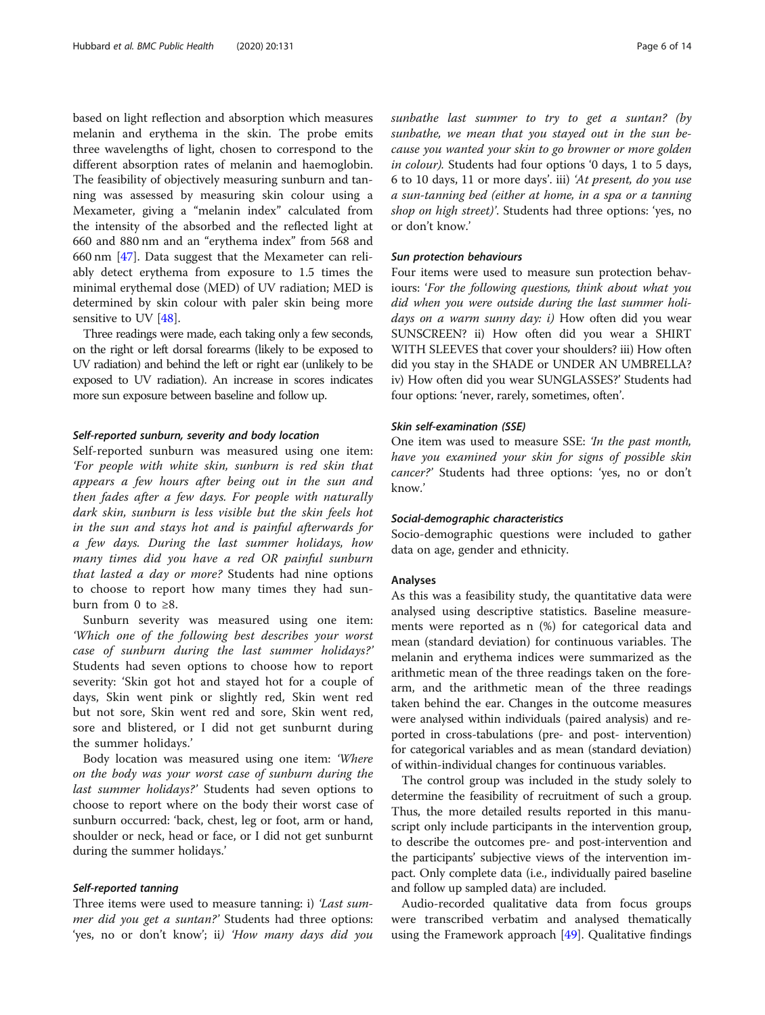based on light reflection and absorption which measures melanin and erythema in the skin. The probe emits three wavelengths of light, chosen to correspond to the different absorption rates of melanin and haemoglobin. The feasibility of objectively measuring sunburn and tanning was assessed by measuring skin colour using a Mexameter, giving a "melanin index" calculated from the intensity of the absorbed and the reflected light at 660 and 880 nm and an "erythema index" from 568 and 660 nm [[47\]](#page-13-0). Data suggest that the Mexameter can reliably detect erythema from exposure to 1.5 times the minimal erythemal dose (MED) of UV radiation; MED is determined by skin colour with paler skin being more sensitive to UV [\[48](#page-13-0)].

Three readings were made, each taking only a few seconds, on the right or left dorsal forearms (likely to be exposed to UV radiation) and behind the left or right ear (unlikely to be exposed to UV radiation). An increase in scores indicates more sun exposure between baseline and follow up.

#### Self-reported sunburn, severity and body location

Self-reported sunburn was measured using one item: 'For people with white skin, sunburn is red skin that appears a few hours after being out in the sun and then fades after a few days. For people with naturally dark skin, sunburn is less visible but the skin feels hot in the sun and stays hot and is painful afterwards for a few days. During the last summer holidays, how many times did you have a red OR painful sunburn that lasted a day or more? Students had nine options to choose to report how many times they had sunburn from 0 to  $\geq 8$ .

Sunburn severity was measured using one item: 'Which one of the following best describes your worst case of sunburn during the last summer holidays?' Students had seven options to choose how to report severity: 'Skin got hot and stayed hot for a couple of days, Skin went pink or slightly red, Skin went red but not sore, Skin went red and sore, Skin went red, sore and blistered, or I did not get sunburnt during the summer holidays.'

Body location was measured using one item: 'Where on the body was your worst case of sunburn during the last summer holidays?' Students had seven options to choose to report where on the body their worst case of sunburn occurred: 'back, chest, leg or foot, arm or hand, shoulder or neck, head or face, or I did not get sunburnt during the summer holidays.'

#### Self-reported tanning

Three items were used to measure tanning: i) 'Last summer did you get a suntan?' Students had three options: 'yes, no or don't know'; ii) 'How many days did you sunbathe last summer to try to get a suntan? (by sunbathe, we mean that you stayed out in the sun because you wanted your skin to go browner or more golden in colour). Students had four options '0 days, 1 to 5 days, 6 to 10 days, 11 or more days'. iii) 'At present, do you use a sun-tanning bed (either at home, in a spa or a tanning shop on high street)'. Students had three options: 'yes, no or don't know.'

## Sun protection behaviours

Four items were used to measure sun protection behaviours: 'For the following questions, think about what you did when you were outside during the last summer holidays on a warm sunny day: i) How often did you wear SUNSCREEN? ii) How often did you wear a SHIRT WITH SLEEVES that cover your shoulders? iii) How often did you stay in the SHADE or UNDER AN UMBRELLA? iv) How often did you wear SUNGLASSES?' Students had four options: 'never, rarely, sometimes, often'.

## Skin self-examination (SSE)

One item was used to measure SSE: 'In the past month, have you examined your skin for signs of possible skin cancer?' Students had three options: 'yes, no or don't know.'

#### Social-demographic characteristics

Socio-demographic questions were included to gather data on age, gender and ethnicity.

#### Analyses

As this was a feasibility study, the quantitative data were analysed using descriptive statistics. Baseline measurements were reported as n (%) for categorical data and mean (standard deviation) for continuous variables. The melanin and erythema indices were summarized as the arithmetic mean of the three readings taken on the forearm, and the arithmetic mean of the three readings taken behind the ear. Changes in the outcome measures were analysed within individuals (paired analysis) and reported in cross-tabulations (pre- and post- intervention) for categorical variables and as mean (standard deviation) of within-individual changes for continuous variables.

The control group was included in the study solely to determine the feasibility of recruitment of such a group. Thus, the more detailed results reported in this manuscript only include participants in the intervention group, to describe the outcomes pre- and post-intervention and the participants' subjective views of the intervention impact. Only complete data (i.e., individually paired baseline and follow up sampled data) are included.

Audio-recorded qualitative data from focus groups were transcribed verbatim and analysed thematically using the Framework approach [[49\]](#page-13-0). Qualitative findings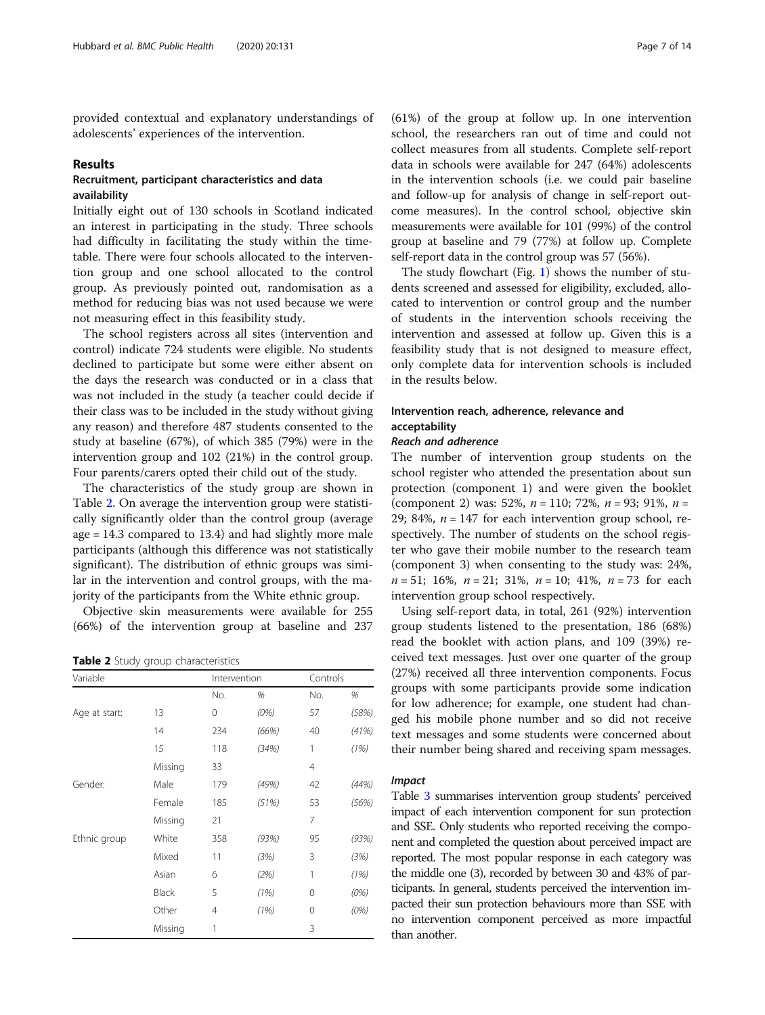provided contextual and explanatory understandings of adolescents' experiences of the intervention.

#### Results

## Recruitment, participant characteristics and data availability

Initially eight out of 130 schools in Scotland indicated an interest in participating in the study. Three schools had difficulty in facilitating the study within the timetable. There were four schools allocated to the intervention group and one school allocated to the control group. As previously pointed out, randomisation as a method for reducing bias was not used because we were not measuring effect in this feasibility study.

The school registers across all sites (intervention and control) indicate 724 students were eligible. No students declined to participate but some were either absent on the days the research was conducted or in a class that was not included in the study (a teacher could decide if their class was to be included in the study without giving any reason) and therefore 487 students consented to the study at baseline (67%), of which 385 (79%) were in the intervention group and 102 (21%) in the control group. Four parents/carers opted their child out of the study.

The characteristics of the study group are shown in Table 2. On average the intervention group were statistically significantly older than the control group (average age = 14.3 compared to 13.4) and had slightly more male participants (although this difference was not statistically significant). The distribution of ethnic groups was similar in the intervention and control groups, with the majority of the participants from the White ethnic group.

Objective skin measurements were available for 255 (66%) of the intervention group at baseline and 237

Table 2 Study group characteristics

| Variable      |         | Intervention |       | Controls |       |
|---------------|---------|--------------|-------|----------|-------|
|               |         | No.          | %     | No.      | %     |
| Age at start: | 13      | 0            | (0%)  | 57       | (58%) |
|               | 14      | 234          | (66%) | 40       | (41%) |
|               | 15      | 118          | (34%) | 1        | (1%)  |
|               | Missing | 33           |       | 4        |       |
| Gender:       | Male    | 179          | (49%) | 42       | (44%) |
|               | Female  | 185          | (51%) | 53       | (56%) |
|               | Missing | 21           |       | 7        |       |
| Ethnic group  | White   | 358          | (93%) | 95       | (93%) |
|               | Mixed   | 11           | (3%)  | 3        | (3%)  |
|               | Asian   | 6            | (2%)  | 1        | (1%)  |
|               | Black   | 5            | (1%)  | $\Omega$ | (0%)  |
|               | Other   | 4            | (1%)  | $\Omega$ | (0%)  |
|               | Missing | 1            |       | 3        |       |

(61%) of the group at follow up. In one intervention school, the researchers ran out of time and could not collect measures from all students. Complete self-report data in schools were available for 247 (64%) adolescents in the intervention schools (i.e. we could pair baseline and follow-up for analysis of change in self-report outcome measures). In the control school, objective skin measurements were available for 101 (99%) of the control group at baseline and 79 (77%) at follow up. Complete self-report data in the control group was 57 (56%).

The study flowchart (Fig. [1](#page-8-0)) shows the number of students screened and assessed for eligibility, excluded, allocated to intervention or control group and the number of students in the intervention schools receiving the intervention and assessed at follow up. Given this is a feasibility study that is not designed to measure effect, only complete data for intervention schools is included in the results below.

## Intervention reach, adherence, relevance and acceptability

## Reach and adherence

The number of intervention group students on the school register who attended the presentation about sun protection (component 1) and were given the booklet (component 2) was: 52%,  $n = 110$ ; 72%,  $n = 93$ ; 91%,  $n =$ 29; 84%,  $n = 147$  for each intervention group school, respectively. The number of students on the school register who gave their mobile number to the research team (component 3) when consenting to the study was: 24%,  $n = 51$ ; 16%,  $n = 21$ ; 31%,  $n = 10$ ; 41%,  $n = 73$  for each intervention group school respectively.

Using self-report data, in total, 261 (92%) intervention group students listened to the presentation, 186 (68%) read the booklet with action plans, and 109 (39%) received text messages. Just over one quarter of the group (27%) received all three intervention components. Focus groups with some participants provide some indication for low adherence; for example, one student had changed his mobile phone number and so did not receive text messages and some students were concerned about their number being shared and receiving spam messages.

### Impact

Table [3](#page-8-0) summarises intervention group students' perceived impact of each intervention component for sun protection and SSE. Only students who reported receiving the component and completed the question about perceived impact are reported. The most popular response in each category was the middle one (3), recorded by between 30 and 43% of participants. In general, students perceived the intervention impacted their sun protection behaviours more than SSE with no intervention component perceived as more impactful than another.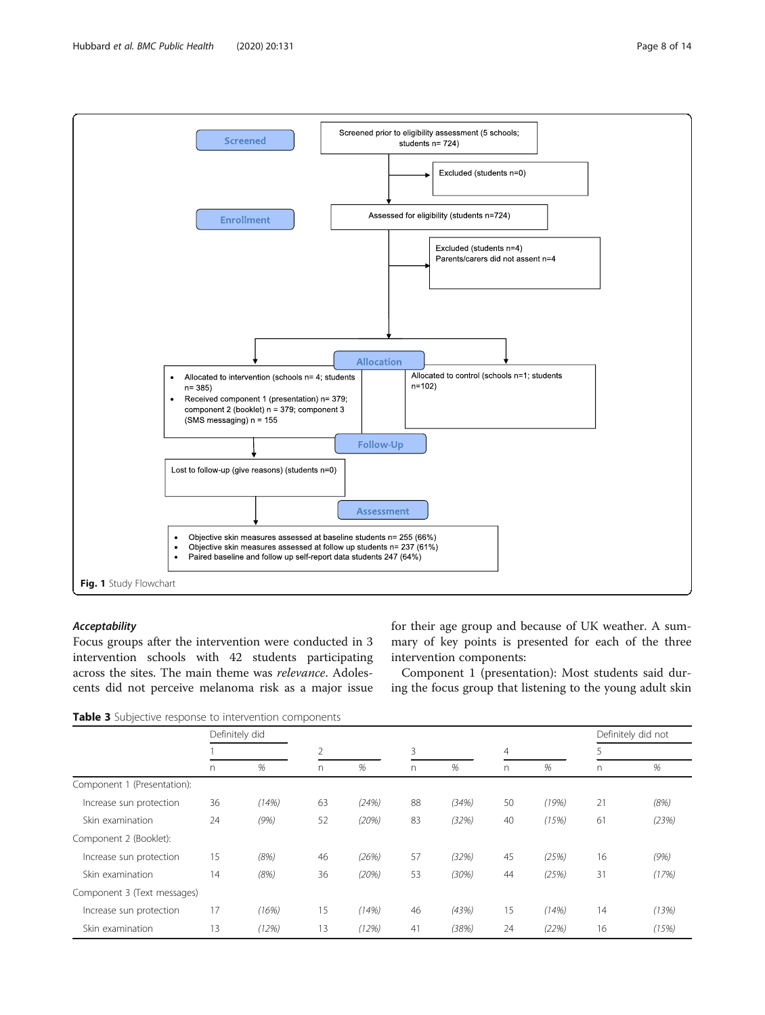<span id="page-8-0"></span>

## Acceptability

Focus groups after the intervention were conducted in 3 intervention schools with 42 students participating across the sites. The main theme was relevance. Adolescents did not perceive melanoma risk as a major issue for their age group and because of UK weather. A summary of key points is presented for each of the three intervention components:

Component 1 (presentation): Most students said during the focus group that listening to the young adult skin

Table 3 Subjective response to intervention components

|                             | Definitely did |       |    |       |    |       |          |       |    | Definitely did not |  |
|-----------------------------|----------------|-------|----|-------|----|-------|----------|-------|----|--------------------|--|
|                             |                |       |    | 2     |    | 3     |          | 4     |    | 5                  |  |
|                             | $\Gamma$       | %     | n. | %     | n  | %     | $\Gamma$ | %     | n. | %                  |  |
| Component 1 (Presentation): |                |       |    |       |    |       |          |       |    |                    |  |
| Increase sun protection     | 36             | (14%) | 63 | (24%) | 88 | (34%) | 50       | (19%) | 21 | (8%)               |  |
| Skin examination            | 24             | (9%)  | 52 | (20%) | 83 | (32%) | 40       | (15%) | 61 | (23%)              |  |
| Component 2 (Booklet):      |                |       |    |       |    |       |          |       |    |                    |  |
| Increase sun protection     | 15             | (8%)  | 46 | (26%) | 57 | (32%) | 45       | (25%) | 16 | (9%)               |  |
| Skin examination            | 14             | (8%)  | 36 | (20%) | 53 | (30%) | 44       | (25%) | 31 | (17%)              |  |
| Component 3 (Text messages) |                |       |    |       |    |       |          |       |    |                    |  |
| Increase sun protection     | 17             | (16%) | 15 | (14%) | 46 | (43%) | 15       | (14%) | 14 | (13%)              |  |
| Skin examination            | 13             | (12%) | 13 | (12%) | 41 | (38%) | 24       | (22%) | 16 | (15%)              |  |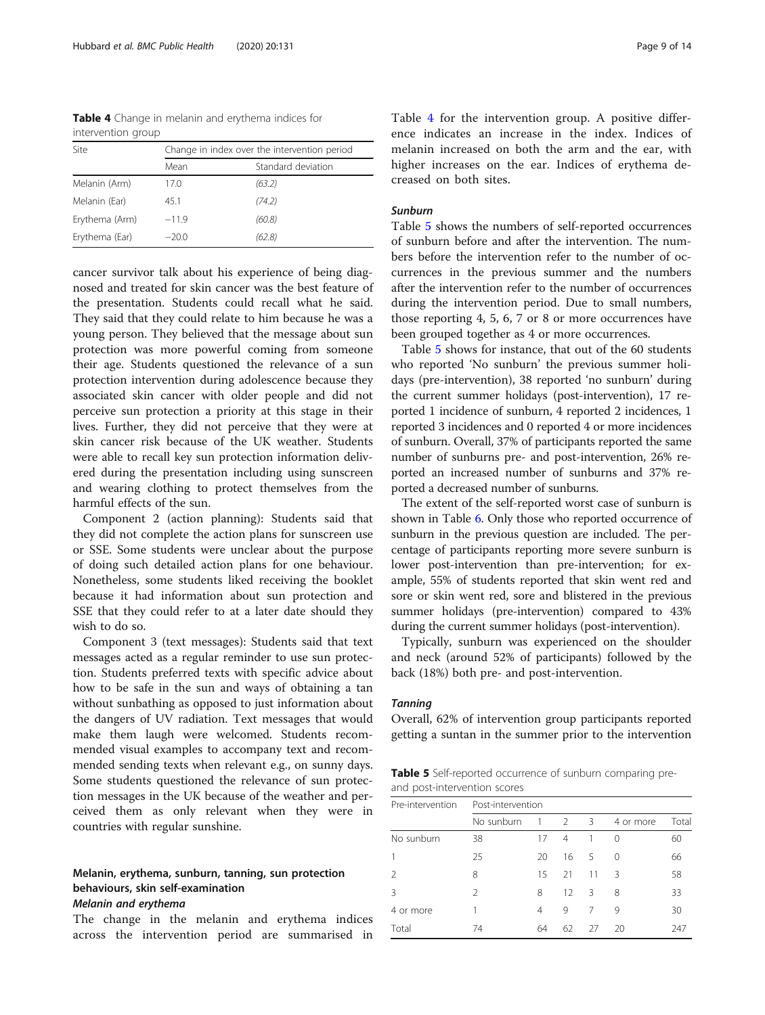Table 4 Change in melanin and erythema indices for intervention group

| Site           | Change in index over the intervention period |                    |  |  |
|----------------|----------------------------------------------|--------------------|--|--|
|                | Mean                                         | Standard deviation |  |  |
| Melanin (Arm)  | 17.0                                         | (63.2)             |  |  |
| Melanin (Ear)  | 45.1                                         | (74.2)             |  |  |
| Erythema (Arm) | $-11.9$                                      | (60.8)             |  |  |
| Erythema (Ear) | $-20.0$                                      | (62.8)             |  |  |

cancer survivor talk about his experience of being diagnosed and treated for skin cancer was the best feature of the presentation. Students could recall what he said. They said that they could relate to him because he was a young person. They believed that the message about sun protection was more powerful coming from someone their age. Students questioned the relevance of a sun protection intervention during adolescence because they associated skin cancer with older people and did not perceive sun protection a priority at this stage in their lives. Further, they did not perceive that they were at skin cancer risk because of the UK weather. Students were able to recall key sun protection information delivered during the presentation including using sunscreen and wearing clothing to protect themselves from the harmful effects of the sun.

Component 2 (action planning): Students said that they did not complete the action plans for sunscreen use or SSE. Some students were unclear about the purpose of doing such detailed action plans for one behaviour. Nonetheless, some students liked receiving the booklet because it had information about sun protection and SSE that they could refer to at a later date should they wish to do so.

Component 3 (text messages): Students said that text messages acted as a regular reminder to use sun protection. Students preferred texts with specific advice about how to be safe in the sun and ways of obtaining a tan without sunbathing as opposed to just information about the dangers of UV radiation. Text messages that would make them laugh were welcomed. Students recommended visual examples to accompany text and recommended sending texts when relevant e.g., on sunny days. Some students questioned the relevance of sun protection messages in the UK because of the weather and perceived them as only relevant when they were in countries with regular sunshine.

## Melanin, erythema, sunburn, tanning, sun protection behaviours, skin self-examination Melanin and erythema

The change in the melanin and erythema indices across the intervention period are summarised in Table 4 for the intervention group. A positive difference indicates an increase in the index. Indices of melanin increased on both the arm and the ear, with higher increases on the ear. Indices of erythema decreased on both sites.

## Sunburn

Table 5 shows the numbers of self-reported occurrences of sunburn before and after the intervention. The numbers before the intervention refer to the number of occurrences in the previous summer and the numbers after the intervention refer to the number of occurrences during the intervention period. Due to small numbers, those reporting 4, 5, 6, 7 or 8 or more occurrences have been grouped together as 4 or more occurrences.

Table 5 shows for instance, that out of the 60 students who reported 'No sunburn' the previous summer holidays (pre-intervention), 38 reported 'no sunburn' during the current summer holidays (post-intervention), 17 reported 1 incidence of sunburn, 4 reported 2 incidences, 1 reported 3 incidences and 0 reported 4 or more incidences of sunburn. Overall, 37% of participants reported the same number of sunburns pre- and post-intervention, 26% reported an increased number of sunburns and 37% reported a decreased number of sunburns.

The extent of the self-reported worst case of sunburn is shown in Table [6.](#page-10-0) Only those who reported occurrence of sunburn in the previous question are included. The percentage of participants reporting more severe sunburn is lower post-intervention than pre-intervention; for example, 55% of students reported that skin went red and sore or skin went red, sore and blistered in the previous summer holidays (pre-intervention) compared to 43% during the current summer holidays (post-intervention).

Typically, sunburn was experienced on the shoulder and neck (around 52% of participants) followed by the back (18%) both pre- and post-intervention.

## **Tanning**

Overall, 62% of intervention group participants reported getting a suntan in the summer prior to the intervention

**Table 5** Self-reported occurrence of sunburn comparing preand post-intervention scores

| Pre-intervention | Post-intervention |    |                |    |           |       |  |  |
|------------------|-------------------|----|----------------|----|-----------|-------|--|--|
|                  | No sunburn        | 1  | $\overline{2}$ | 3  | 4 or more | Total |  |  |
| No sunburn       | 38                | 17 | 4              | 1  | 0         | 60    |  |  |
|                  | 25                | 20 | 16             | 5  | $\Omega$  | 66    |  |  |
|                  | 8                 | 15 | 21             | 11 | Β         | 58    |  |  |
| Β                | $\mathcal{P}$     | 8  | 12             | 3  | 8         | 33    |  |  |
| 4 or more        |                   | 4  | 9              | 7  | 9         | 30    |  |  |
| Total            | 74                | 64 | 62             | 27 | 20        | 247   |  |  |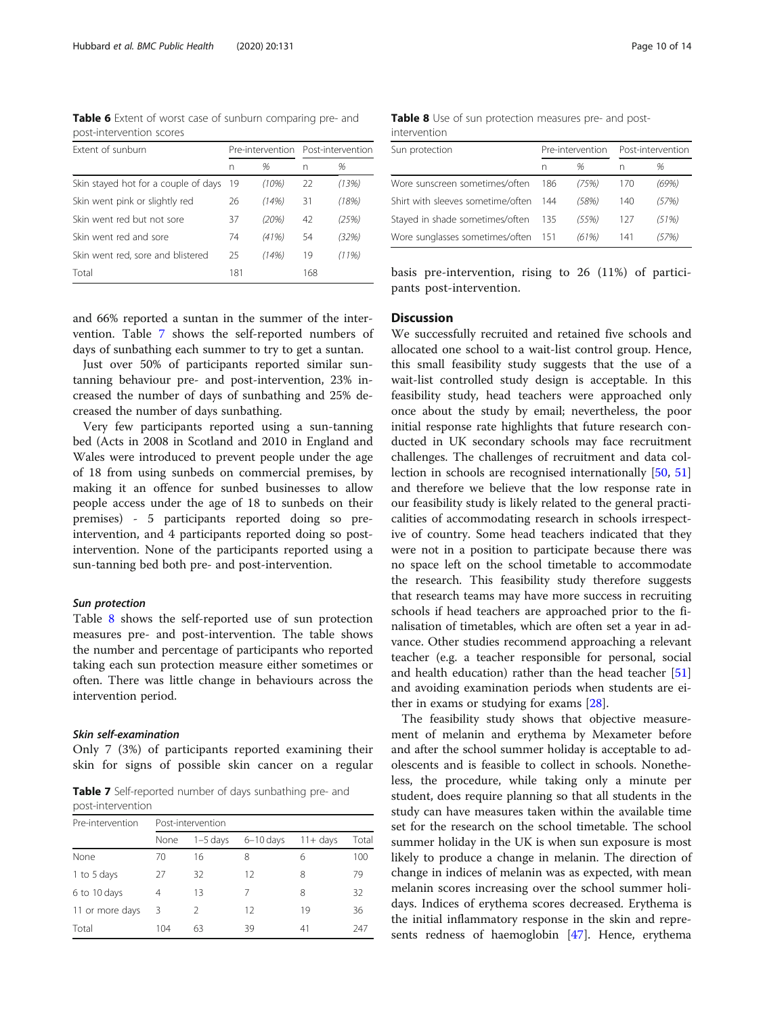<span id="page-10-0"></span>Table 6 Extent of worst case of sunburn comparing pre- and post-intervention scores

| Extent of sunburn                    |     |       | Pre-intervention Post-intervention |       |
|--------------------------------------|-----|-------|------------------------------------|-------|
|                                      | n   | %     | n                                  | %     |
| Skin stayed hot for a couple of days | -19 | (10%) | 22                                 | (13%) |
| Skin went pink or slightly red       | 26  | (14%) | 31                                 | (18%) |
| Skin went red but not sore           | 37  | (20%) | 42                                 | (25%) |
| Skin went red and sore               | 74  | (41%) | 54                                 | (32%) |
| Skin went red, sore and blistered    | 25  | (14%) | 19                                 | (11%) |
| Total                                | 181 |       | 168                                |       |

and 66% reported a suntan in the summer of the intervention. Table 7 shows the self-reported numbers of days of sunbathing each summer to try to get a suntan.

Just over 50% of participants reported similar suntanning behaviour pre- and post-intervention, 23% increased the number of days of sunbathing and 25% decreased the number of days sunbathing.

Very few participants reported using a sun-tanning bed (Acts in 2008 in Scotland and 2010 in England and Wales were introduced to prevent people under the age of 18 from using sunbeds on commercial premises, by making it an offence for sunbed businesses to allow people access under the age of 18 to sunbeds on their premises) - 5 participants reported doing so preintervention, and 4 participants reported doing so postintervention. None of the participants reported using a sun-tanning bed both pre- and post-intervention.

#### Sun protection

Table 8 shows the self-reported use of sun protection measures pre- and post-intervention. The table shows the number and percentage of participants who reported taking each sun protection measure either sometimes or often. There was little change in behaviours across the intervention period.

## Skin self-examination

Only 7 (3%) of participants reported examining their skin for signs of possible skin cancer on a regular

Table 7 Self-reported number of days sunbathing pre- and post-intervention

| Pre-intervention | Post-intervention |            |             |             |       |  |  |  |
|------------------|-------------------|------------|-------------|-------------|-------|--|--|--|
|                  | None              | $1-5$ days | $6-10$ days | $11 + days$ | Total |  |  |  |
| None             | 70                | 16         | 8           | 6           | 100   |  |  |  |
| 1 to 5 days      | 27                | 32         | 12          | 8           | 79    |  |  |  |
| 6 to 10 days     | 4                 | 13         |             | 8           | 32    |  |  |  |
| 11 or more days  | 3                 | 2          | 12          | 19          | 36    |  |  |  |
| Total            | 104               | 63         | 39          | 41          | 247   |  |  |  |

Table 8 Use of sun protection measures pre- and postintervention

| Sun protection                      |     | Pre-intervention | Post-intervention |       |
|-------------------------------------|-----|------------------|-------------------|-------|
|                                     | n   | %                |                   | %     |
| Wore sunscreen sometimes/often      | 186 | (75%)            | 170               | (69%) |
| Shirt with sleeves sometime/often   | 144 | (58%)            | 140               | (57%) |
| Stayed in shade sometimes/often 135 |     | (55%)            | 127               | (51%) |
| Wore sunglasses sometimes/often 151 |     | (61%)            | 141               | (57%) |

basis pre-intervention, rising to 26 (11%) of participants post-intervention.

## **Discussion**

We successfully recruited and retained five schools and allocated one school to a wait-list control group. Hence, this small feasibility study suggests that the use of a wait-list controlled study design is acceptable. In this feasibility study, head teachers were approached only once about the study by email; nevertheless, the poor initial response rate highlights that future research conducted in UK secondary schools may face recruitment challenges. The challenges of recruitment and data collection in schools are recognised internationally [\[50,](#page-13-0) [51](#page-14-0)] and therefore we believe that the low response rate in our feasibility study is likely related to the general practicalities of accommodating research in schools irrespective of country. Some head teachers indicated that they were not in a position to participate because there was no space left on the school timetable to accommodate the research. This feasibility study therefore suggests that research teams may have more success in recruiting schools if head teachers are approached prior to the finalisation of timetables, which are often set a year in advance. Other studies recommend approaching a relevant teacher (e.g. a teacher responsible for personal, social and health education) rather than the head teacher [[51](#page-14-0)] and avoiding examination periods when students are either in exams or studying for exams [\[28\]](#page-13-0).

The feasibility study shows that objective measurement of melanin and erythema by Mexameter before and after the school summer holiday is acceptable to adolescents and is feasible to collect in schools. Nonetheless, the procedure, while taking only a minute per student, does require planning so that all students in the study can have measures taken within the available time set for the research on the school timetable. The school summer holiday in the UK is when sun exposure is most likely to produce a change in melanin. The direction of change in indices of melanin was as expected, with mean melanin scores increasing over the school summer holidays. Indices of erythema scores decreased. Erythema is the initial inflammatory response in the skin and represents redness of haemoglobin [[47\]](#page-13-0). Hence, erythema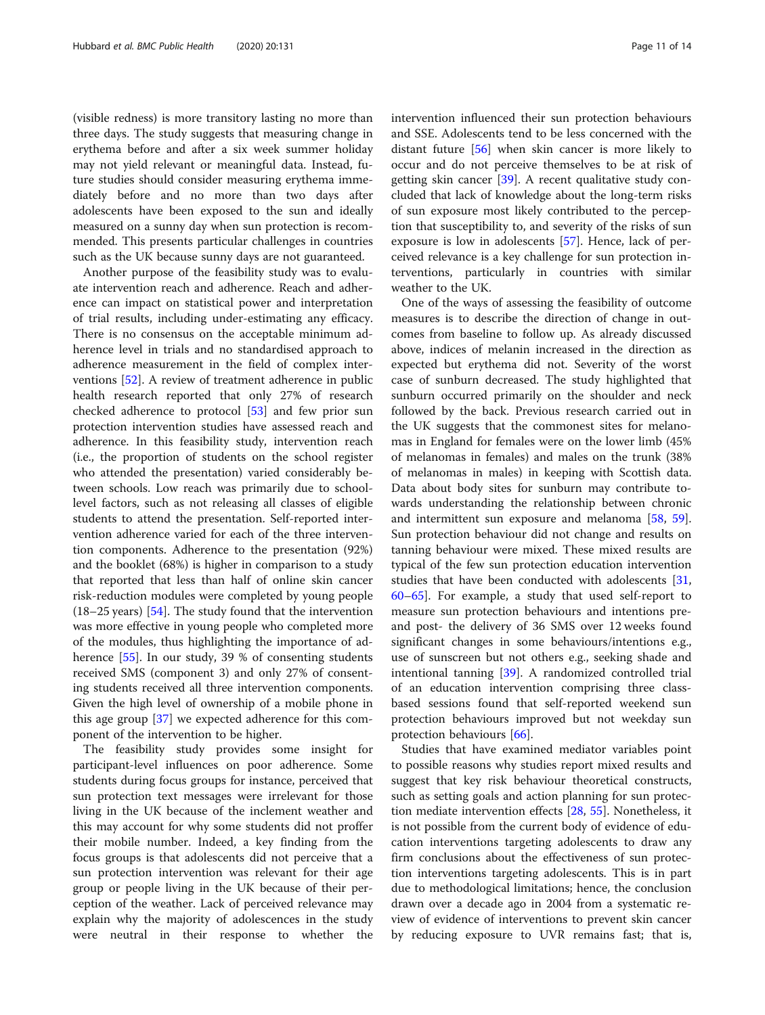(visible redness) is more transitory lasting no more than three days. The study suggests that measuring change in erythema before and after a six week summer holiday may not yield relevant or meaningful data. Instead, future studies should consider measuring erythema immediately before and no more than two days after adolescents have been exposed to the sun and ideally measured on a sunny day when sun protection is recommended. This presents particular challenges in countries such as the UK because sunny days are not guaranteed.

Another purpose of the feasibility study was to evaluate intervention reach and adherence. Reach and adherence can impact on statistical power and interpretation of trial results, including under-estimating any efficacy. There is no consensus on the acceptable minimum adherence level in trials and no standardised approach to adherence measurement in the field of complex interventions [\[52](#page-14-0)]. A review of treatment adherence in public health research reported that only 27% of research checked adherence to protocol [\[53](#page-14-0)] and few prior sun protection intervention studies have assessed reach and adherence. In this feasibility study, intervention reach (i.e., the proportion of students on the school register who attended the presentation) varied considerably between schools. Low reach was primarily due to schoollevel factors, such as not releasing all classes of eligible students to attend the presentation. Self-reported intervention adherence varied for each of the three intervention components. Adherence to the presentation (92%) and the booklet (68%) is higher in comparison to a study that reported that less than half of online skin cancer risk-reduction modules were completed by young people  $(18–25 \text{ years})$  [\[54](#page-14-0)]. The study found that the intervention was more effective in young people who completed more of the modules, thus highlighting the importance of adherence [[55](#page-14-0)]. In our study, 39 % of consenting students received SMS (component 3) and only 27% of consenting students received all three intervention components. Given the high level of ownership of a mobile phone in this age group [[37\]](#page-13-0) we expected adherence for this component of the intervention to be higher.

The feasibility study provides some insight for participant-level influences on poor adherence. Some students during focus groups for instance, perceived that sun protection text messages were irrelevant for those living in the UK because of the inclement weather and this may account for why some students did not proffer their mobile number. Indeed, a key finding from the focus groups is that adolescents did not perceive that a sun protection intervention was relevant for their age group or people living in the UK because of their perception of the weather. Lack of perceived relevance may explain why the majority of adolescences in the study were neutral in their response to whether the intervention influenced their sun protection behaviours and SSE. Adolescents tend to be less concerned with the distant future [[56\]](#page-14-0) when skin cancer is more likely to occur and do not perceive themselves to be at risk of getting skin cancer [\[39](#page-13-0)]. A recent qualitative study concluded that lack of knowledge about the long-term risks of sun exposure most likely contributed to the perception that susceptibility to, and severity of the risks of sun exposure is low in adolescents [[57\]](#page-14-0). Hence, lack of perceived relevance is a key challenge for sun protection interventions, particularly in countries with similar weather to the UK.

One of the ways of assessing the feasibility of outcome measures is to describe the direction of change in outcomes from baseline to follow up. As already discussed above, indices of melanin increased in the direction as expected but erythema did not. Severity of the worst case of sunburn decreased. The study highlighted that sunburn occurred primarily on the shoulder and neck followed by the back. Previous research carried out in the UK suggests that the commonest sites for melanomas in England for females were on the lower limb (45% of melanomas in females) and males on the trunk (38% of melanomas in males) in keeping with Scottish data. Data about body sites for sunburn may contribute towards understanding the relationship between chronic and intermittent sun exposure and melanoma [\[58,](#page-14-0) [59](#page-14-0)]. Sun protection behaviour did not change and results on tanning behaviour were mixed. These mixed results are typical of the few sun protection education intervention studies that have been conducted with adolescents [[31](#page-13-0), [60](#page-14-0)–[65](#page-14-0)]. For example, a study that used self-report to measure sun protection behaviours and intentions preand post- the delivery of 36 SMS over 12 weeks found significant changes in some behaviours/intentions e.g., use of sunscreen but not others e.g., seeking shade and intentional tanning [\[39\]](#page-13-0). A randomized controlled trial of an education intervention comprising three classbased sessions found that self-reported weekend sun protection behaviours improved but not weekday sun protection behaviours [\[66](#page-14-0)].

Studies that have examined mediator variables point to possible reasons why studies report mixed results and suggest that key risk behaviour theoretical constructs, such as setting goals and action planning for sun protection mediate intervention effects [[28](#page-13-0), [55](#page-14-0)]. Nonetheless, it is not possible from the current body of evidence of education interventions targeting adolescents to draw any firm conclusions about the effectiveness of sun protection interventions targeting adolescents. This is in part due to methodological limitations; hence, the conclusion drawn over a decade ago in 2004 from a systematic review of evidence of interventions to prevent skin cancer by reducing exposure to UVR remains fast; that is,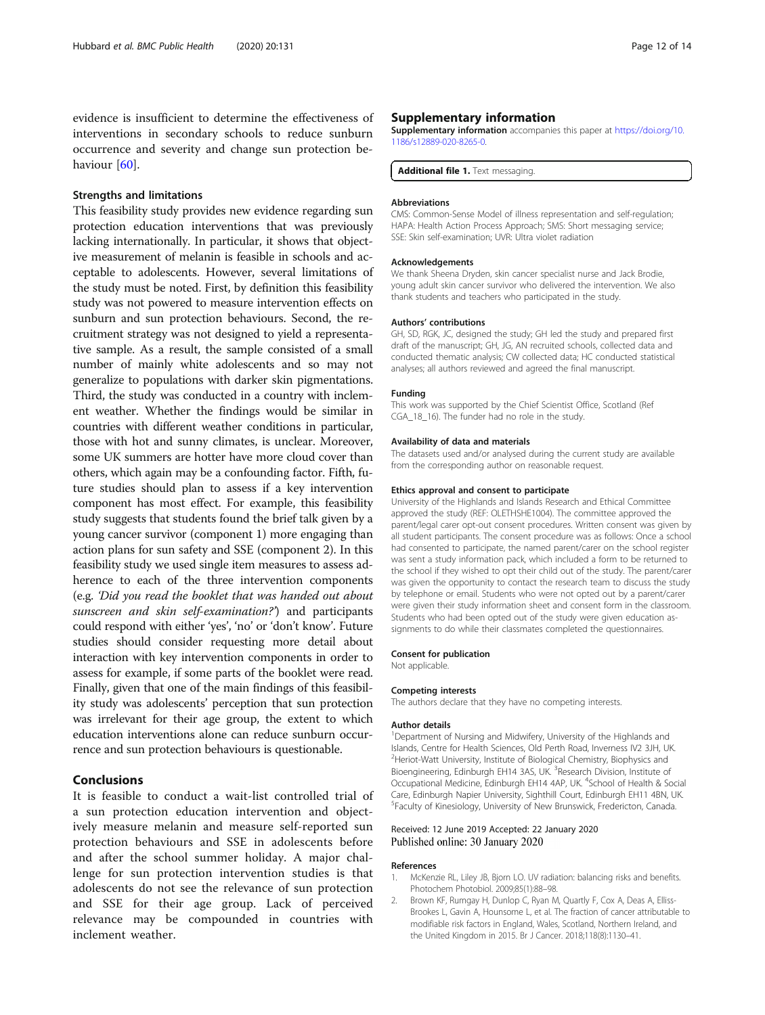<span id="page-12-0"></span>evidence is insufficient to determine the effectiveness of interventions in secondary schools to reduce sunburn occurrence and severity and change sun protection be-haviour [[60\]](#page-14-0).

#### Strengths and limitations

This feasibility study provides new evidence regarding sun protection education interventions that was previously lacking internationally. In particular, it shows that objective measurement of melanin is feasible in schools and acceptable to adolescents. However, several limitations of the study must be noted. First, by definition this feasibility study was not powered to measure intervention effects on sunburn and sun protection behaviours. Second, the recruitment strategy was not designed to yield a representative sample. As a result, the sample consisted of a small number of mainly white adolescents and so may not generalize to populations with darker skin pigmentations. Third, the study was conducted in a country with inclement weather. Whether the findings would be similar in countries with different weather conditions in particular, those with hot and sunny climates, is unclear. Moreover, some UK summers are hotter have more cloud cover than others, which again may be a confounding factor. Fifth, future studies should plan to assess if a key intervention component has most effect. For example, this feasibility study suggests that students found the brief talk given by a young cancer survivor (component 1) more engaging than action plans for sun safety and SSE (component 2). In this feasibility study we used single item measures to assess adherence to each of the three intervention components (e.g. 'Did you read the booklet that was handed out about sunscreen and skin self-examination?') and participants could respond with either 'yes', 'no' or 'don't know'. Future studies should consider requesting more detail about interaction with key intervention components in order to assess for example, if some parts of the booklet were read. Finally, given that one of the main findings of this feasibility study was adolescents' perception that sun protection was irrelevant for their age group, the extent to which education interventions alone can reduce sunburn occurrence and sun protection behaviours is questionable.

## Conclusions

It is feasible to conduct a wait-list controlled trial of a sun protection education intervention and objectively measure melanin and measure self-reported sun protection behaviours and SSE in adolescents before and after the school summer holiday. A major challenge for sun protection intervention studies is that adolescents do not see the relevance of sun protection and SSE for their age group. Lack of perceived relevance may be compounded in countries with inclement weather.

#### Supplementary information

Supplementary information accompanies this paper at [https://doi.org/10.](https://doi.org/10.1186/s12889-020-8265-0) [1186/s12889-020-8265-0.](https://doi.org/10.1186/s12889-020-8265-0)

Additional file 1. Text messaging.

#### Abbreviations

CMS: Common-Sense Model of illness representation and self-regulation; HAPA: Health Action Process Approach; SMS: Short messaging service; SSE: Skin self-examination; UVR: Ultra violet radiation

#### Acknowledgements

We thank Sheena Dryden, skin cancer specialist nurse and Jack Brodie, young adult skin cancer survivor who delivered the intervention. We also thank students and teachers who participated in the study.

#### Authors' contributions

GH, SD, RGK, JC, designed the study; GH led the study and prepared first draft of the manuscript; GH, JG, AN recruited schools, collected data and conducted thematic analysis; CW collected data; HC conducted statistical analyses; all authors reviewed and agreed the final manuscript.

#### Funding

This work was supported by the Chief Scientist Office, Scotland (Ref CGA\_18\_16). The funder had no role in the study.

#### Availability of data and materials

The datasets used and/or analysed during the current study are available from the corresponding author on reasonable request.

#### Ethics approval and consent to participate

University of the Highlands and Islands Research and Ethical Committee approved the study (REF: OLETHSHE1004). The committee approved the parent/legal carer opt-out consent procedures. Written consent was given by all student participants. The consent procedure was as follows: Once a school had consented to participate, the named parent/carer on the school register was sent a study information pack, which included a form to be returned to the school if they wished to opt their child out of the study. The parent/carer was given the opportunity to contact the research team to discuss the study by telephone or email. Students who were not opted out by a parent/carer were given their study information sheet and consent form in the classroom. Students who had been opted out of the study were given education assignments to do while their classmates completed the questionnaires.

#### Consent for publication

Not applicable.

#### Competing interests

The authors declare that they have no competing interests.

#### Author details

<sup>1</sup>Department of Nursing and Midwifery, University of the Highlands and Islands, Centre for Health Sciences, Old Perth Road, Inverness IV2 3JH, UK. <sup>2</sup>Heriot-Watt University, Institute of Biological Chemistry, Biophysics and Bioengineering, Edinburgh EH14 3AS, UK. <sup>3</sup>Research Division, Institute of Occupational Medicine, Edinburgh EH14 4AP, UK. <sup>4</sup>School of Health & Social Care, Edinburgh Napier University, Sighthill Court, Edinburgh EH11 4BN, UK. 5 Faculty of Kinesiology, University of New Brunswick, Fredericton, Canada.

#### Received: 12 June 2019 Accepted: 22 January 2020 Published online: 30 January 2020

### References

- 1. McKenzie RL, Liley JB, Bjorn LO. UV radiation: balancing risks and benefits. Photochem Photobiol. 2009;85(1):88–98.
- 2. Brown KF, Rumgay H, Dunlop C, Ryan M, Quartly F, Cox A, Deas A, Elliss-Brookes L, Gavin A, Hounsome L, et al. The fraction of cancer attributable to modifiable risk factors in England, Wales, Scotland, Northern Ireland, and the United Kingdom in 2015. Br J Cancer. 2018;118(8):1130–41.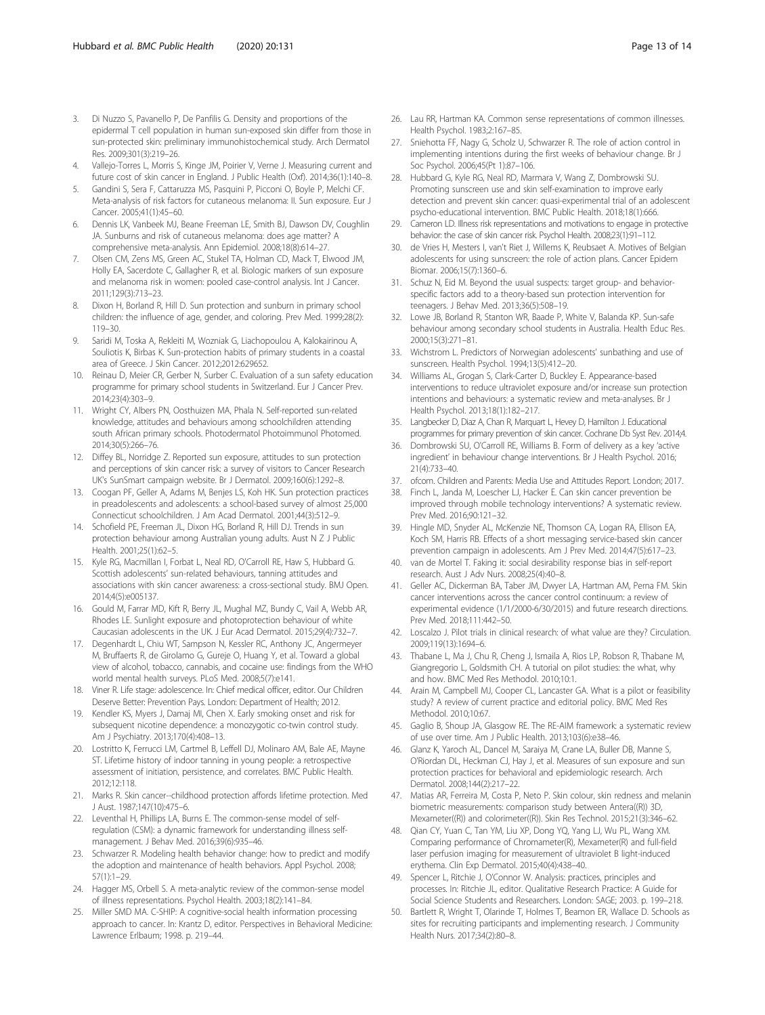- <span id="page-13-0"></span>3. Di Nuzzo S, Pavanello P, De Panfilis G. Density and proportions of the epidermal T cell population in human sun-exposed skin differ from those in sun-protected skin: preliminary immunohistochemical study. Arch Dermatol Res. 2009;301(3):219–26.
- 4. Vallejo-Torres L, Morris S, Kinge JM, Poirier V, Verne J. Measuring current and future cost of skin cancer in England. J Public Health (Oxf). 2014;36(1):140–8.
- 5. Gandini S, Sera F, Cattaruzza MS, Pasquini P, Picconi O, Boyle P, Melchi CF. Meta-analysis of risk factors for cutaneous melanoma: II. Sun exposure. Eur J Cancer. 2005;41(1):45–60.
- 6. Dennis LK, Vanbeek MJ, Beane Freeman LE, Smith BJ, Dawson DV, Coughlin JA. Sunburns and risk of cutaneous melanoma: does age matter? A comprehensive meta-analysis. Ann Epidemiol. 2008;18(8):614–27.
- 7. Olsen CM, Zens MS, Green AC, Stukel TA, Holman CD, Mack T, Elwood JM, Holly EA, Sacerdote C, Gallagher R, et al. Biologic markers of sun exposure and melanoma risk in women: pooled case-control analysis. Int J Cancer. 2011;129(3):713–23.
- 8. Dixon H, Borland R, Hill D. Sun protection and sunburn in primary school children: the influence of age, gender, and coloring. Prev Med. 1999;28(2): 119–30.
- 9. Saridi M, Toska A, Rekleiti M, Wozniak G, Liachopoulou A, Kalokairinou A, Souliotis K, Birbas K. Sun-protection habits of primary students in a coastal area of Greece. J Skin Cancer. 2012;2012:629652.
- 10. Reinau D, Meier CR, Gerber N, Surber C. Evaluation of a sun safety education programme for primary school students in Switzerland. Eur J Cancer Prev. 2014;23(4):303–9.
- 11. Wright CY, Albers PN, Oosthuizen MA, Phala N. Self-reported sun-related knowledge, attitudes and behaviours among schoolchildren attending south African primary schools. Photodermatol Photoimmunol Photomed. 2014;30(5):266–76.
- 12. Diffey BL, Norridge Z. Reported sun exposure, attitudes to sun protection and perceptions of skin cancer risk: a survey of visitors to Cancer Research UK's SunSmart campaign website. Br J Dermatol. 2009;160(6):1292–8.
- 13. Coogan PF, Geller A, Adams M, Benjes LS, Koh HK. Sun protection practices in preadolescents and adolescents: a school-based survey of almost 25,000 Connecticut schoolchildren. J Am Acad Dermatol. 2001;44(3):512–9.
- 14. Schofield PE, Freeman JL, Dixon HG, Borland R, Hill DJ. Trends in sun protection behaviour among Australian young adults. Aust N Z J Public Health. 2001;25(1):62–5.
- 15. Kyle RG, Macmillan I, Forbat L, Neal RD, O'Carroll RE, Haw S, Hubbard G. Scottish adolescents' sun-related behaviours, tanning attitudes and associations with skin cancer awareness: a cross-sectional study. BMJ Open. 2014;4(5):e005137.
- 16. Gould M, Farrar MD, Kift R, Berry JL, Mughal MZ, Bundy C, Vail A, Webb AR, Rhodes LE. Sunlight exposure and photoprotection behaviour of white Caucasian adolescents in the UK. J Eur Acad Dermatol. 2015;29(4):732–7.
- 17. Degenhardt L, Chiu WT, Sampson N, Kessler RC, Anthony JC, Angermeyer M, Bruffaerts R, de Girolamo G, Gureje O, Huang Y, et al. Toward a global view of alcohol, tobacco, cannabis, and cocaine use: findings from the WHO world mental health surveys. PLoS Med. 2008;5(7):e141.
- 18. Viner R. Life stage: adolescence. In: Chief medical officer, editor. Our Children Deserve Better: Prevention Pays. London: Department of Health; 2012.
- 19. Kendler KS, Myers J, Damaj MI, Chen X. Early smoking onset and risk for subsequent nicotine dependence: a monozygotic co-twin control study. Am J Psychiatry. 2013;170(4):408–13.
- 20. Lostritto K, Ferrucci LM, Cartmel B, Leffell DJ, Molinaro AM, Bale AE, Mayne ST. Lifetime history of indoor tanning in young people: a retrospective assessment of initiation, persistence, and correlates. BMC Public Health. 2012;12:118.
- 21. Marks R. Skin cancer--childhood protection affords lifetime protection. Med J Aust. 1987;147(10):475–6.
- 22. Leventhal H, Phillips LA, Burns E. The common-sense model of selfregulation (CSM): a dynamic framework for understanding illness selfmanagement. J Behav Med. 2016;39(6):935–46.
- 23. Schwarzer R. Modeling health behavior change: how to predict and modify the adoption and maintenance of health behaviors. Appl Psychol. 2008; 57(1):1–29.
- 24. Hagger MS, Orbell S. A meta-analytic review of the common-sense model of illness representations. Psychol Health. 2003;18(2):141–84.
- 25. Miller SMD MA. C-SHIP: A cognitive-social health information processing approach to cancer. In: Krantz D, editor. Perspectives in Behavioral Medicine: Lawrence Erlbaum; 1998. p. 219–44.
- 26. Lau RR, Hartman KA. Common sense representations of common illnesses. Health Psychol. 1983;2:167–85.
- 27. Sniehotta FF, Nagy G, Scholz U, Schwarzer R. The role of action control in implementing intentions during the first weeks of behaviour change. Br J Soc Psychol. 2006;45(Pt 1):87–106.
- 28. Hubbard G, Kyle RG, Neal RD, Marmara V, Wang Z, Dombrowski SU. Promoting sunscreen use and skin self-examination to improve early detection and prevent skin cancer: quasi-experimental trial of an adolescent psycho-educational intervention. BMC Public Health. 2018;18(1):666.
- 29. Cameron LD. Illness risk representations and motivations to engage in protective behavior: the case of skin cancer risk. Psychol Health. 2008;23(1):91–112.
- 30. de Vries H, Mesters I, van't Riet J, Willems K, Reubsaet A. Motives of Belgian adolescents for using sunscreen: the role of action plans. Cancer Epidem Biomar. 2006;15(7):1360–6.
- 31. Schuz N, Eid M. Beyond the usual suspects: target group- and behaviorspecific factors add to a theory-based sun protection intervention for teenagers. J Behav Med. 2013;36(5):508–19.
- 32. Lowe JB, Borland R, Stanton WR, Baade P, White V, Balanda KP. Sun-safe behaviour among secondary school students in Australia. Health Educ Res. 2000;15(3):271–81.
- 33. Wichstrom L. Predictors of Norwegian adolescents' sunbathing and use of sunscreen. Health Psychol. 1994;13(5):412–20.
- 34. Williams AL, Grogan S, Clark-Carter D, Buckley E. Appearance-based interventions to reduce ultraviolet exposure and/or increase sun protection intentions and behaviours: a systematic review and meta-analyses. Br J Health Psychol. 2013;18(1):182–217.
- 35. Langbecker D, Diaz A, Chan R, Marquart L, Hevey D, Hamilton J. Educational programmes for primary prevention of skin cancer. Cochrane Db Syst Rev. 2014;4.
- Dombrowski SU, O'Carroll RE, Williams B. Form of delivery as a key 'active ingredient' in behaviour change interventions. Br J Health Psychol. 2016; 21(4):733–40.
- 37. ofcom. Children and Parents: Media Use and Attitudes Report. London; 2017.
- 38. Finch L, Janda M, Loescher LJ, Hacker E. Can skin cancer prevention be improved through mobile technology interventions? A systematic review. Prev Med. 2016;90:121–32.
- 39. Hingle MD, Snyder AL, McKenzie NE, Thomson CA, Logan RA, Ellison EA, Koch SM, Harris RB. Effects of a short messaging service-based skin cancer prevention campaign in adolescents. Am J Prev Med. 2014;47(5):617–23.
- 40. van de Mortel T. Faking it: social desirability response bias in self-report research. Aust J Adv Nurs. 2008;25(4):40–8.
- 41. Geller AC, Dickerman BA, Taber JM, Dwyer LA, Hartman AM, Perna FM. Skin cancer interventions across the cancer control continuum: a review of experimental evidence (1/1/2000-6/30/2015) and future research directions. Prev Med. 2018;111:442–50.
- 42. Loscalzo J. Pilot trials in clinical research: of what value are they? Circulation. 2009;119(13):1694–6.
- 43. Thabane L, Ma J, Chu R, Cheng J, Ismaila A, Rios LP, Robson R, Thabane M, Giangregorio L, Goldsmith CH. A tutorial on pilot studies: the what, why and how. BMC Med Res Methodol. 2010;10:1.
- 44. Arain M, Campbell MJ, Cooper CL, Lancaster GA. What is a pilot or feasibility study? A review of current practice and editorial policy. BMC Med Res Methodol. 2010;10:67.
- 45. Gaglio B, Shoup JA, Glasgow RE. The RE-AIM framework: a systematic review of use over time. Am J Public Health. 2013;103(6):e38–46.
- 46. Glanz K, Yaroch AL, Dancel M, Saraiya M, Crane LA, Buller DB, Manne S, O'Riordan DL, Heckman CJ, Hay J, et al. Measures of sun exposure and sun protection practices for behavioral and epidemiologic research. Arch Dermatol. 2008;144(2):217–22.
- 47. Matias AR, Ferreira M, Costa P, Neto P. Skin colour, skin redness and melanin biometric measurements: comparison study between Antera((R)) 3D, Mexameter((R)) and colorimeter((R)). Skin Res Technol. 2015;21(3):346–62.
- 48. Qian CY, Yuan C, Tan YM, Liu XP, Dong YQ, Yang LJ, Wu PL, Wang XM. Comparing performance of Chromameter(R), Mexameter(R) and full-field laser perfusion imaging for measurement of ultraviolet B light-induced erythema. Clin Exp Dermatol. 2015;40(4):438–40.
- 49. Spencer L, Ritchie J, O'Connor W. Analysis: practices, principles and processes. In: Ritchie JL, editor. Qualitative Research Practice: A Guide for Social Science Students and Researchers. London: SAGE; 2003. p. 199–218.
- 50. Bartlett R, Wright T, Olarinde T, Holmes T, Beamon ER, Wallace D. Schools as sites for recruiting participants and implementing research. J Community Health Nurs. 2017;34(2):80–8.